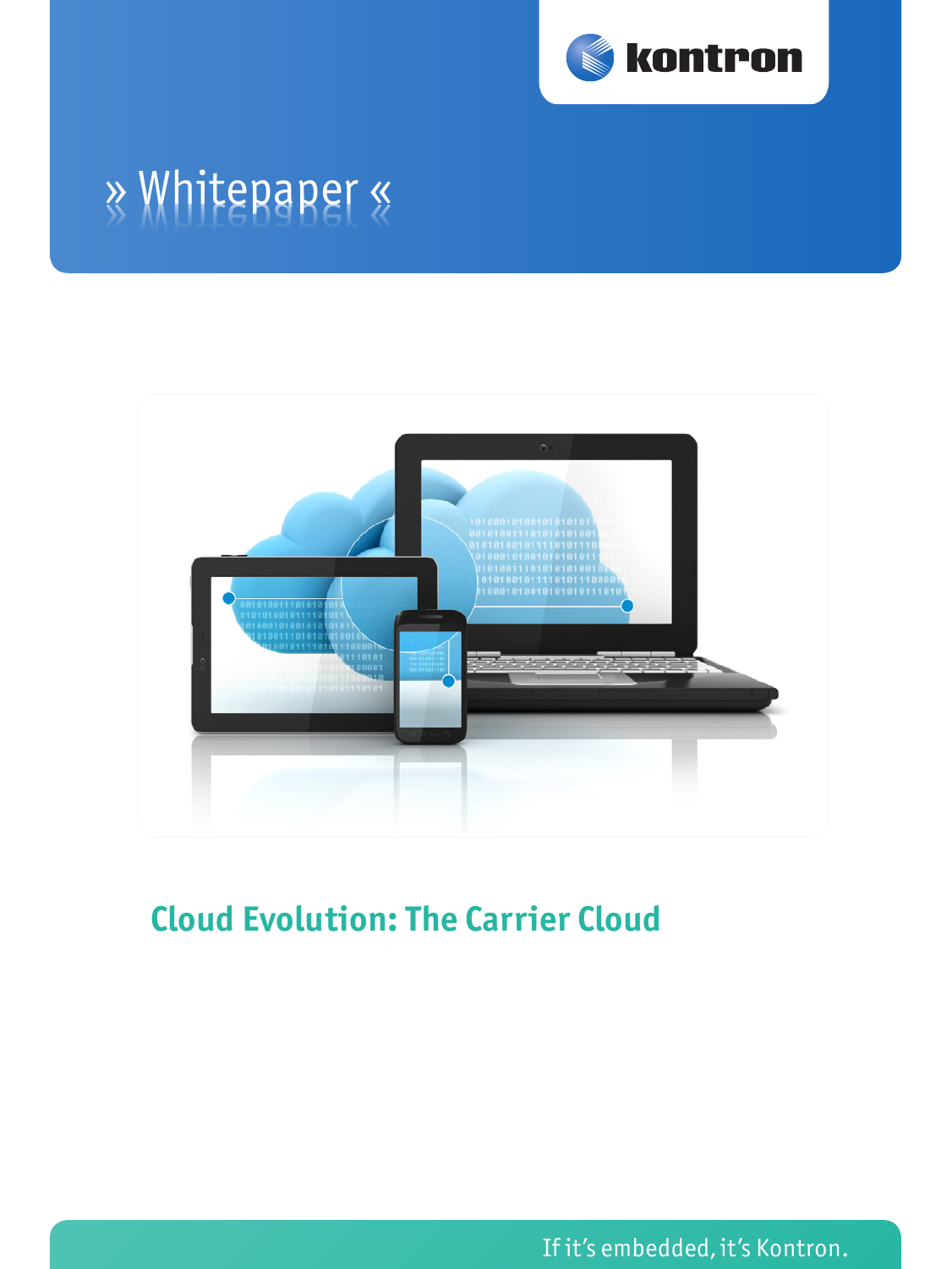

# » Whitepaper «



## **Cloud Evolution: The Carrier Cloud**

If it's embedded, it's Kontron.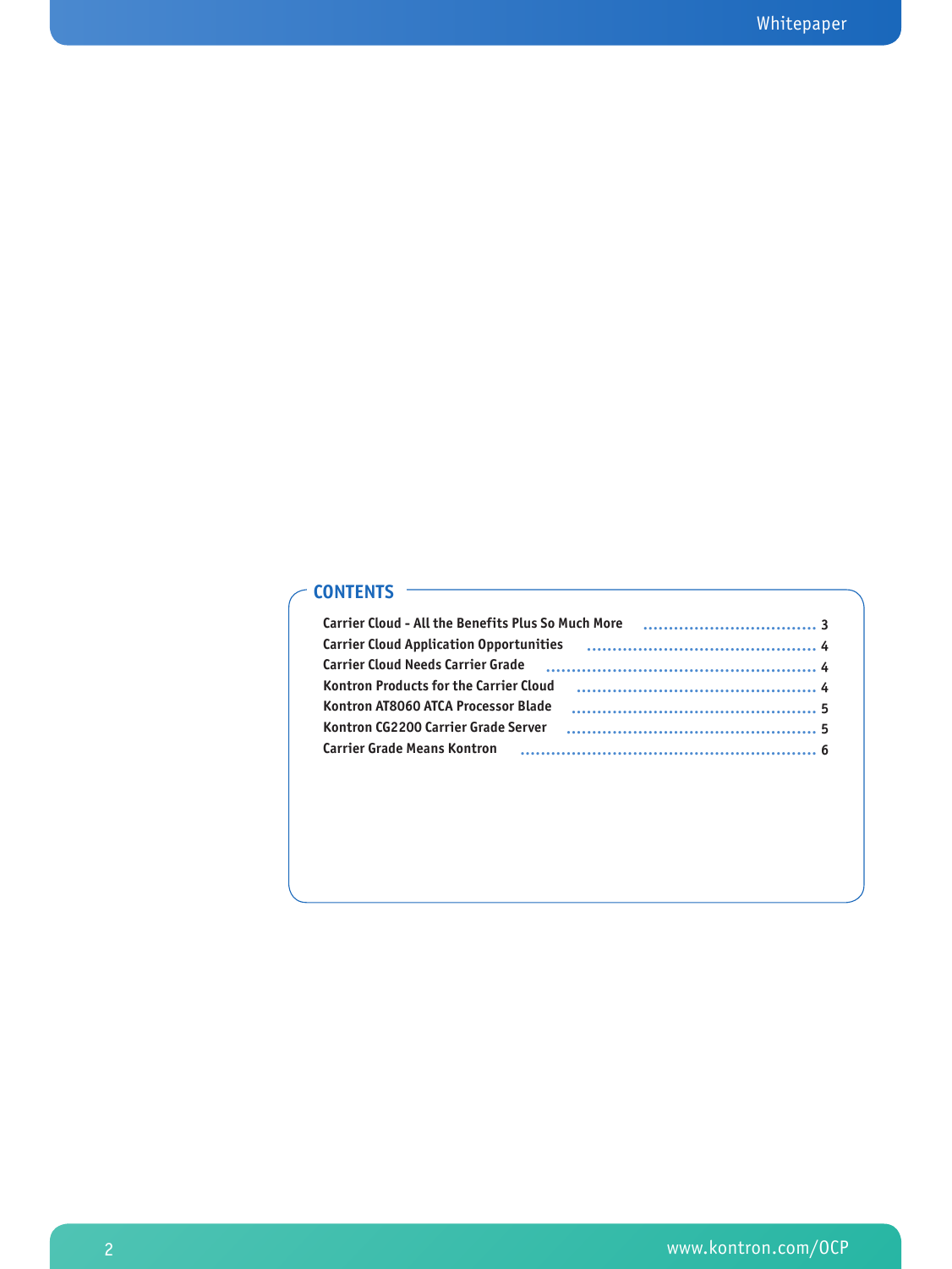#### **Contents**

| <b>Carrier Cloud - All the Benefits Plus So Much More</b> |  |
|-----------------------------------------------------------|--|
| <b>Carrier Cloud Application Opportunities</b>            |  |
| <b>Carrier Cloud Needs Carrier Grade</b>                  |  |
| <b>Kontron Products for the Carrier Cloud</b>             |  |
| Kontron AT8060 ATCA Processor Blade                       |  |
| Kontron CG2200 Carrier Grade Server                       |  |
| <b>Carrier Grade Means Kontron</b>                        |  |
|                                                           |  |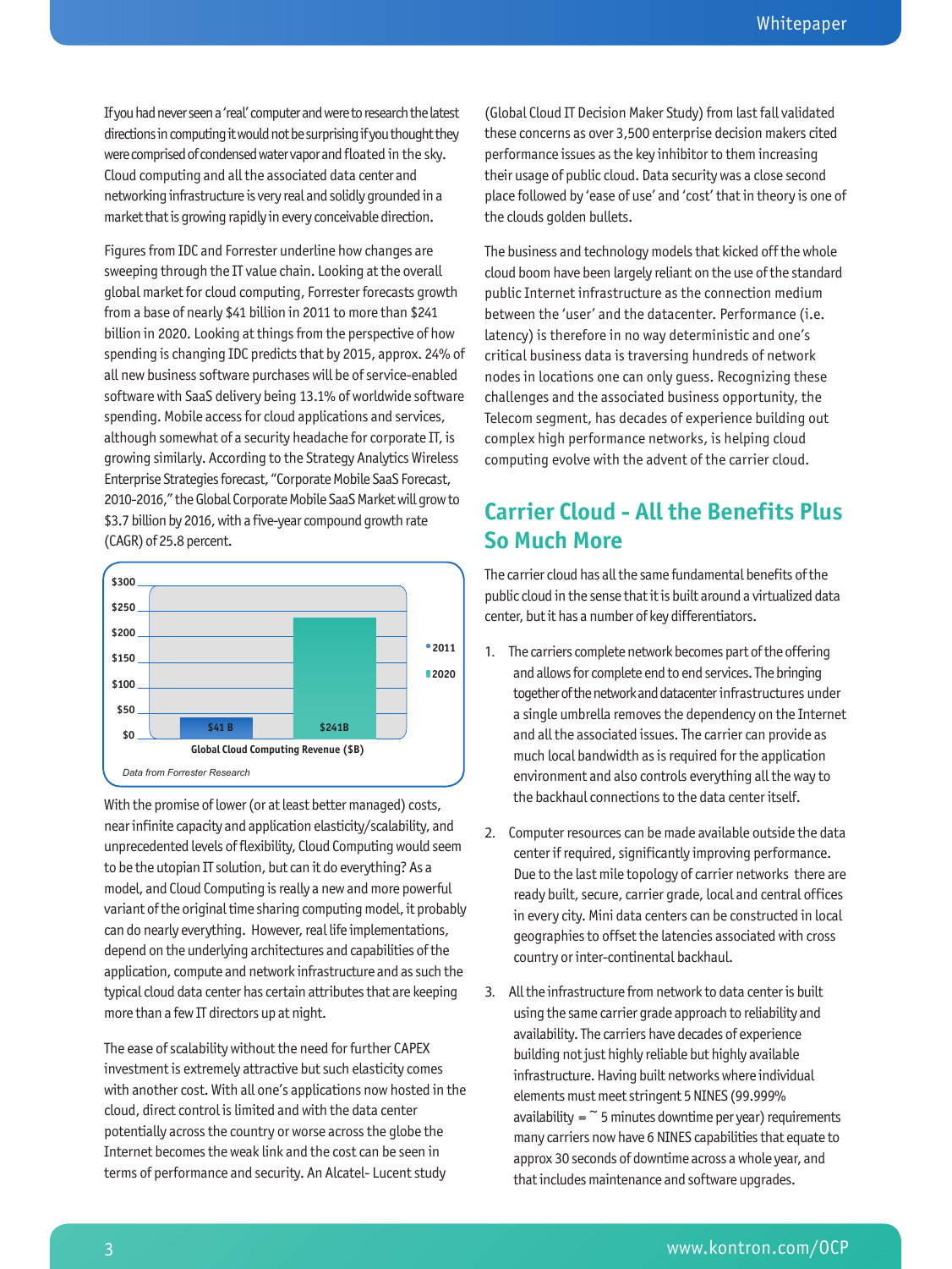If you had never seen a 'real' computer and were to research the latest directions in computing it would not be surprising if you thought they were comprised of condensed water vapor and floated in the sky. Cloud computing and all the associated data center and networking infrastructure is very real and solidly grounded in a market that is growing rapidly in every conceivable direction.

Figures from IDC and Forrester underline how changes are sweeping through the IT value chain. Looking at the overall global market for cloud computing, Forrester forecasts growth from a base of nearly \$41 billion in 2011 to more than \$241 billion in 2020. Looking at things from the perspective of how spending is changing IDC predicts that by 2015, approx. 24% of all new business software purchases will be of service-enabled software with SaaS delivery being 13.1% of worldwide software spending. Mobile access for cloud applications and services, although somewhat of a security headache for corporate IT, is growing similarly. According to the Strategy Analytics Wireless Enterprise Strategies forecast, "Corporate Mobile SaaS Forecast, 2010-2016," the Global Corporate Mobile SaaS Market will grow to \$3.7 billion by 2016, with a five-year compound growth rate (CAGR) of 25.8 percent.



With the promise of lower (or at least better managed) costs, near infinite capacity and application elasticity/scalability, and unprecedented levels of flexibility, Cloud Computing would seem to be the utopian IT solution, but can it do everything? As a model, and Cloud Computing is really a new and more powerful variant of the original time sharing computing model, it probably can do nearly everything. However, real life implementations, depend on the underlying architectures and capabilities of the application, compute and network infrastructure and as such the typical cloud data center has certain attributes that are keeping more than a few IT directors up at night.

The ease of scalability without the need for further CAPEX investment is extremely attractive but such elasticity comes with another cost. With all one's applications now hosted in the cloud, direct control is limited and with the data center potentially across the country or worse across the globe the Internet becomes the weak link and the cost can be seen in terms of performance and security. An Alcatel- Lucent study

(Global Cloud IT Decision Maker Study) from last fall validated these concerns as over 3,500 enterprise decision makers cited performance issues as the key inhibitor to them increasing their usage of public cloud. Data security was a close second place followed by 'ease of use' and 'cost' that in theory is one of the clouds golden bullets.

The business and technology models that kicked off the whole cloud boom have been largely reliant on the use of the standard public Internet infrastructure as the connection medium between the 'user' and the datacenter. Performance (i.e. latency) is therefore in no way deterministic and one's critical business data is traversing hundreds of network nodes in locations one can only guess. Recognizing these challenges and the associated business opportunity, the Telecom segment, has decades of experience building out complex high performance networks, is helping cloud computing evolve with the advent of the carrier cloud.

## **Carrier Cloud - All the Benefits Plus So Much More**

The carrier cloud has all the same fundamental benefits of the public cloud in the sense that it is built around a virtualized data center, but it has a number of key differentiators.

- 1. The carriers complete network becomes part of the offering and allows for complete end to end services. The bringing together of the network and datacenter infrastructures under a single umbrella removes the dependency on the Internet and all the associated issues. The carrier can provide as much local bandwidth as is required for the application environment and also controls everything all the way to the backhaul connections to the data center itself.
- 2. Computer resources can be made available outside the data center if required, significantly improving performance. Due to the last mile topology of carrier networks there are ready built, secure, carrier grade, local and central offices in every city. Mini data centers can be constructed in local geographies to offset the latencies associated with cross country or inter-continental backhaul.
- 3. All the infrastructure from network to data center is built using the same carrier grade approach to reliability and availability. The carriers have decades of experience building not just highly reliable but highly available infrastructure. Having built networks where individual elements must meet stringent 5 NINES (99.999% availability =  $\degree$  5 minutes downtime per year) requirements many carriers now have 6 NINES capabilities that equate to approx 30 seconds of downtime across a whole year, and that includes maintenance and software upgrades.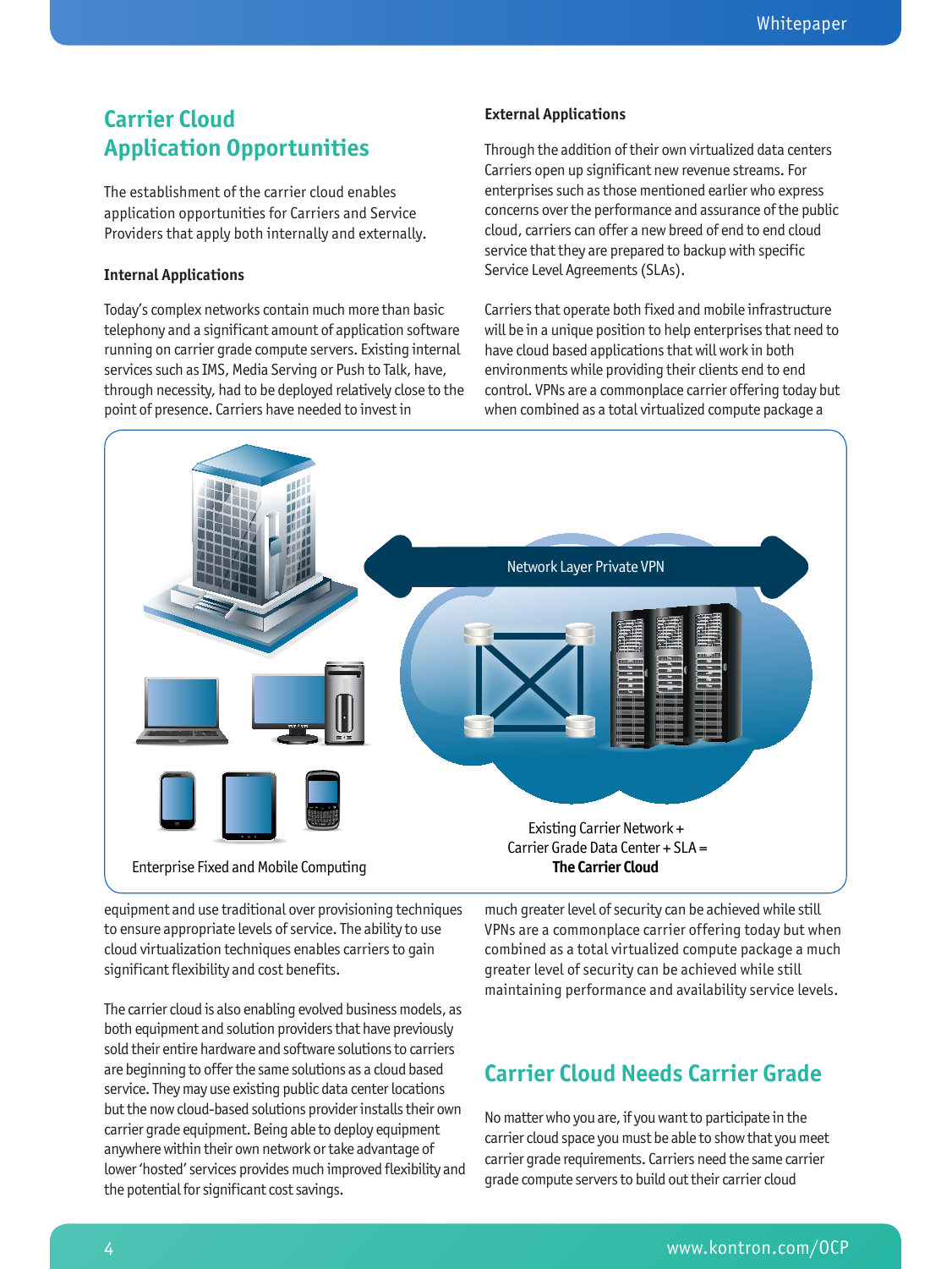## **Carrier Cloud Application Opportunities**

The establishment of the carrier cloud enables application opportunities for Carriers and Service Providers that apply both internally and externally.

#### **Internal Applications**

Today's complex networks contain much more than basic telephony and a significant amount of application software running on carrier grade compute servers. Existing internal services such as IMS, Media Serving or Push to Talk, have, through necessity, had to be deployed relatively close to the point of presence. Carriers have needed to invest in

#### **External Applications**

Through the addition of their own virtualized data centers Carriers open up significant new revenue streams. For enterprises such as those mentioned earlier who express concerns over the performance and assurance of the public cloud, carriers can offer a new breed of end to end cloud service that they are prepared to backup with specific Service Level Agreements (SLAs).

Carriers that operate both fixed and mobile infrastructure will be in a unique position to help enterprises that need to have cloud based applications that will work in both environments while providing their clients end to end control. VPNs are a commonplace carrier offering today but when combined as a total virtualized compute package a



equipment and use traditional over provisioning techniques to ensure appropriate levels of service. The ability to use cloud virtualization techniques enables carriers to gain significant flexibility and cost benefits.

The carrier cloud is also enabling evolved business models, as both equipment and solution providers that have previously sold their entire hardware and software solutions to carriers are beginning to offer the same solutions as a cloud based service. They may use existing public data center locations but the now cloud-based solutions provider installs their own carrier grade equipment. Being able to deploy equipment anywhere within their own network or take advantage of lower 'hosted' services provides much improved flexibility and the potential for significant cost savings.

much greater level of security can be achieved while still VPNs are a commonplace carrier offering today but when combined as a total virtualized compute package a much greater level of security can be achieved while still maintaining performance and availability service levels.

## **Carrier Cloud Needs Carrier Grade**

No matter who you are, if you want to participate in the carrier cloud space you must be able to show that you meet carrier grade requirements. Carriers need the same carrier grade compute servers to build out their carrier cloud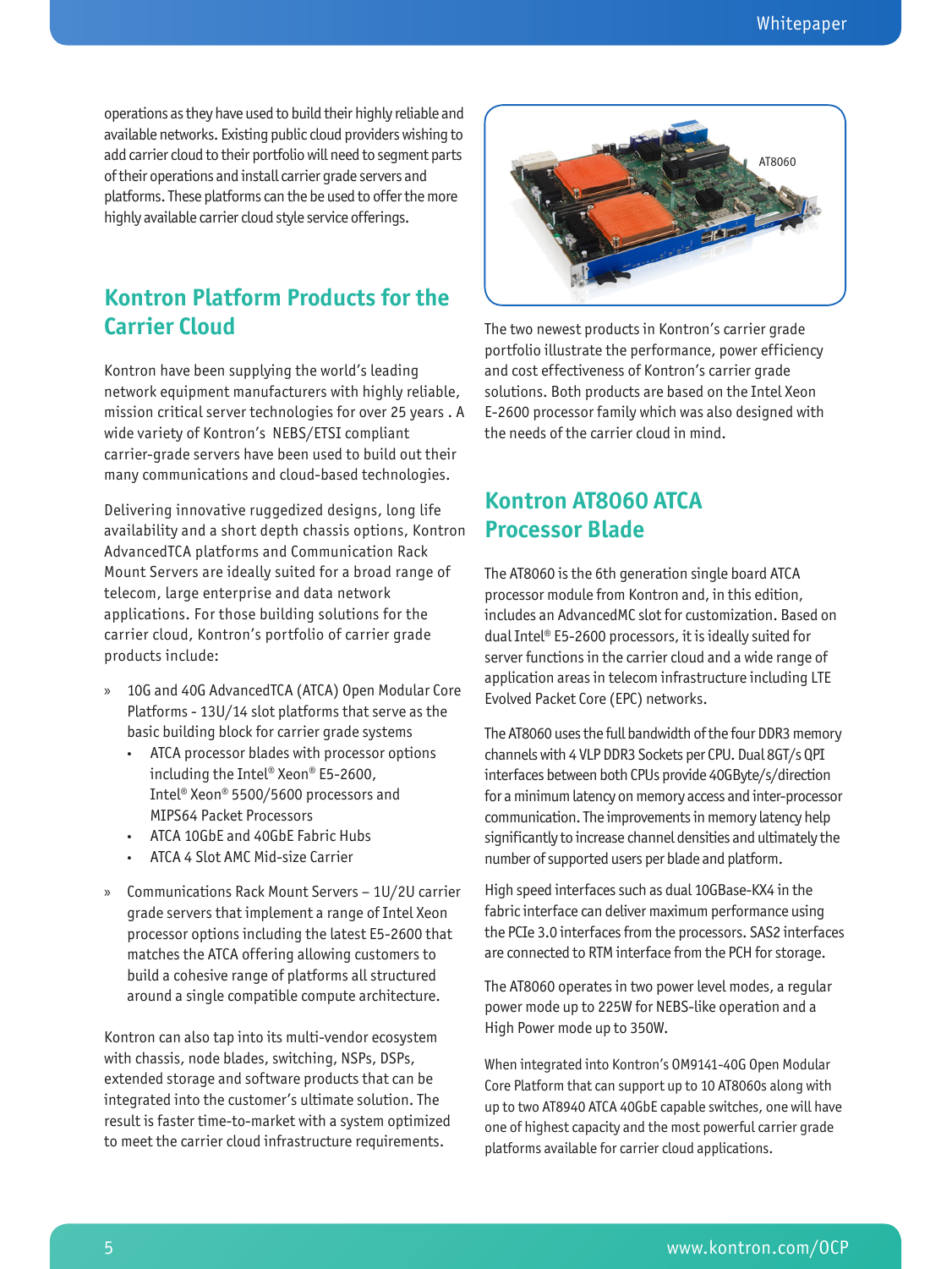operations as they have used to build their highly reliable and available networks. Existing public cloud providers wishing to add carrier cloud to their portfolio will need to segment parts of their operations and install carrier grade servers and platforms. These platforms can the be used to offer the more highly available carrier cloud style service offerings.

## **Kontron Platform Products for the Carrier Cloud**

Kontron have been supplying the world's leading network equipment manufacturers with highly reliable, mission critical server technologies for over 25 years . A wide variety of Kontron's NEBS/ETSI compliant carrier-grade servers have been used to build out their many communications and cloud-based technologies.

Delivering innovative ruggedized designs, long life availability and a short depth chassis options, Kontron AdvancedTCA platforms and Communication Rack Mount Servers are ideally suited for a broad range of telecom, large enterprise and data network applications. For those building solutions for the carrier cloud, Kontron's portfolio of carrier grade products include:

- » 10G and 40G AdvancedTCA (ATCA) Open Modular Core Platforms - 13U/14 slot platforms that serve as the basic building block for carrier grade systems
	- ATCA processor blades with processor options including the Intel® Xeon® E5-2600, Intel® Xeon® 5500/5600 processors and MIPS64 Packet Processors
	- ATCA 10GbE and 40GbE Fabric Hubs
	- ATCA 4 Slot AMC Mid-size Carrier
- » Communications Rack Mount Servers 1U/2U carrier grade servers that implement a range of Intel Xeon processor options including the latest E5-2600 that matches the ATCA offering allowing customers to build a cohesive range of platforms all structured around a single compatible compute architecture.

Kontron can also tap into its multi-vendor ecosystem with chassis, node blades, switching, NSPs, DSPs, extended storage and software products that can be integrated into the customer's ultimate solution. The result is faster time-to-market with a system optimized to meet the carrier cloud infrastructure requirements.



The two newest products in Kontron's carrier grade portfolio illustrate the performance, power efficiency and cost effectiveness of Kontron's carrier grade solutions. Both products are based on the Intel Xeon E-2600 processor family which was also designed with the needs of the carrier cloud in mind.

#### **Kontron AT8060 ATCA Processor Blade**

The AT8060 is the 6th generation single board ATCA processor module from Kontron and, in this edition, includes an AdvancedMC slot for customization. Based on dual Intel® E5-2600 processors, it is ideally suited for server functions in the carrier cloud and a wide range of application areas in telecom infrastructure including LTE Evolved Packet Core (EPC) networks.

The AT8060 uses the full bandwidth of the four DDR3 memory channels with 4 VLP DDR3 Sockets per CPU. Dual 8GT/s QPI interfaces between both CPUs provide 40GByte/s/direction for a minimum latency on memory access and inter-processor communication. The improvements in memory latency help significantly to increase channel densities and ultimately the number of supported users per blade and platform.

High speed interfaces such as dual 10GBase-KX4 in the fabric interface can deliver maximum performance using the PCIe 3.0 interfaces from the processors. SAS2 interfaces are connected to RTM interface from the PCH for storage.

The AT8060 operates in two power level modes, a regular power mode up to 225W for NEBS-like operation and a High Power mode up to 350W.

When integrated into Kontron's OM9141-40G Open Modular Core Platform that can support up to 10 AT8060s along with up to two AT8940 ATCA 40GbE capable switches, one will have one of highest capacity and the most powerful carrier grade platforms available for carrier cloud applications.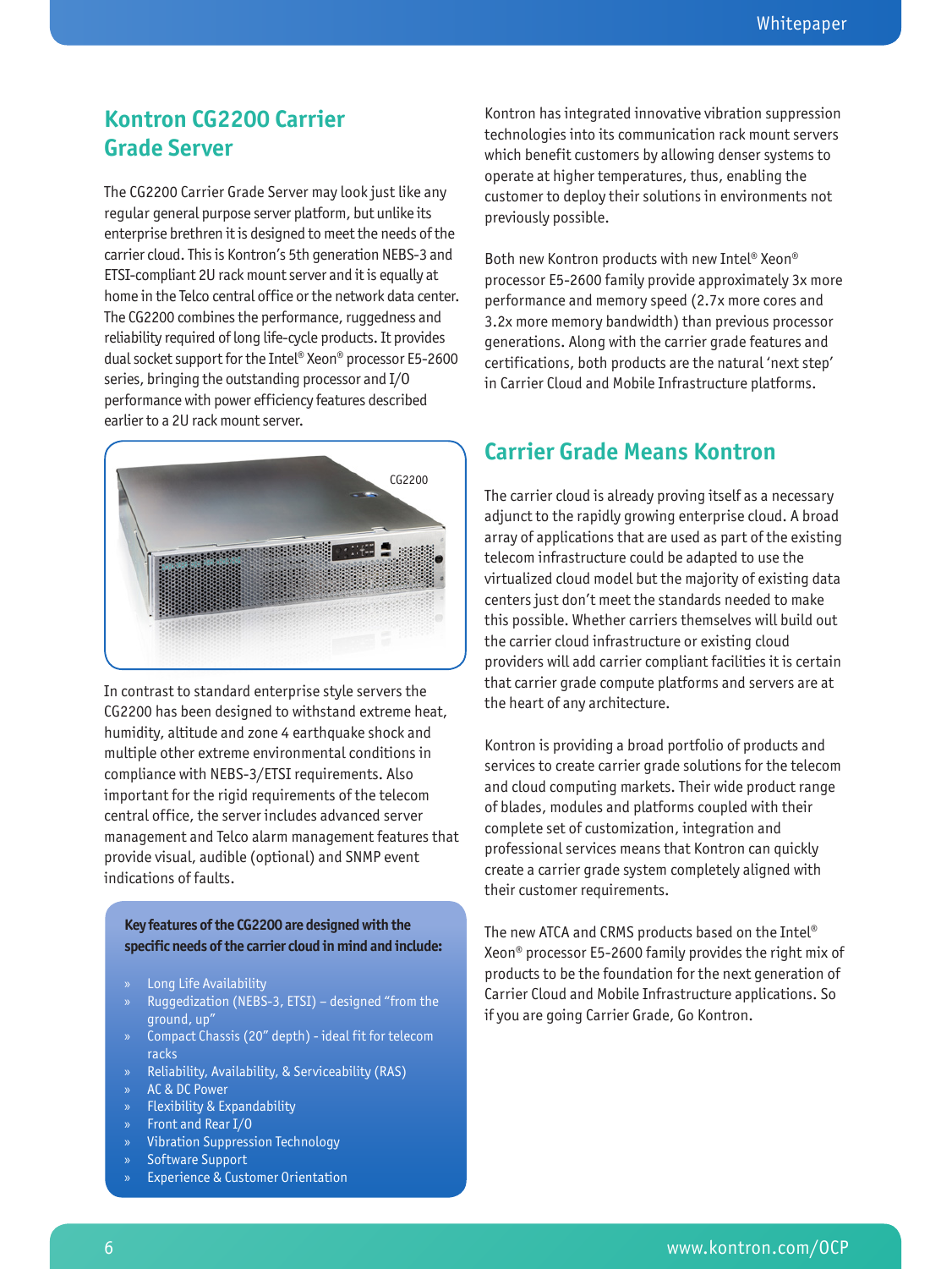### **Kontron CG2200 Carrier Grade Server**

The CG2200 Carrier Grade Server may look just like any regular general purpose server platform, but unlike its enterprise brethren it is designed to meet the needs of the carrier cloud. This is Kontron's 5th generation NEBS-3 and ETSI-compliant 2U rack mount server and it is equally at home in the Telco central office or the network data center. The CG2200 combines the performance, ruggedness and reliability required of long life-cycle products. It provides dual socket support for the Intel® Xeon® processor E5-2600 series, bringing the outstanding processor and I/O performance with power efficiency features described earlier to a 2U rack mount server.



In contrast to standard enterprise style servers the CG2200 has been designed to withstand extreme heat, humidity, altitude and zone 4 earthquake shock and multiple other extreme environmental conditions in compliance with NEBS-3/ETSI requirements. Also important for the rigid requirements of the telecom central office, the server includes advanced server management and Telco alarm management features that provide visual, audible (optional) and SNMP event indications of faults.

**Key features of the CG2200 are designed with the specific needs of the carrier cloud in mind and include:**

- » Long Life Availability
- » Ruggedization (NEBS-3, ETSI) designed "from the ground, up"
- » Compact Chassis (20" depth) ideal fit for telecom racks
- » Reliability, Availability, & Serviceability (RAS)
- » AC & DC Power
- » Flexibility & Expandability
- » Front and Rear I/O
- » Vibration Suppression Technology
- Software Support
- » Experience & Customer Orientation

Kontron has integrated innovative vibration suppression technologies into its communication rack mount servers which benefit customers by allowing denser systems to operate at higher temperatures, thus, enabling the customer to deploy their solutions in environments not previously possible.

Both new Kontron products with new Intel® Xeon® processor E5-2600 family provide approximately 3x more performance and memory speed (2.7x more cores and 3.2x more memory bandwidth) than previous processor generations. Along with the carrier grade features and certifications, both products are the natural 'next step' in Carrier Cloud and Mobile Infrastructure platforms.

#### **Carrier Grade Means Kontron**

The carrier cloud is already proving itself as a necessary adjunct to the rapidly growing enterprise cloud. A broad array of applications that are used as part of the existing telecom infrastructure could be adapted to use the virtualized cloud model but the majority of existing data centers just don't meet the standards needed to make this possible. Whether carriers themselves will build out the carrier cloud infrastructure or existing cloud providers will add carrier compliant facilities it is certain that carrier grade compute platforms and servers are at the heart of any architecture.

Kontron is providing a broad portfolio of products and services to create carrier grade solutions for the telecom and cloud computing markets. Their wide product range of blades, modules and platforms coupled with their complete set of customization, integration and professional services means that Kontron can quickly create a carrier grade system completely aligned with their customer requirements.

The new ATCA and CRMS products based on the Intel® Xeon® processor E5-2600 family provides the right mix of products to be the foundation for the next generation of Carrier Cloud and Mobile Infrastructure applications. So if you are going Carrier Grade, Go Kontron.